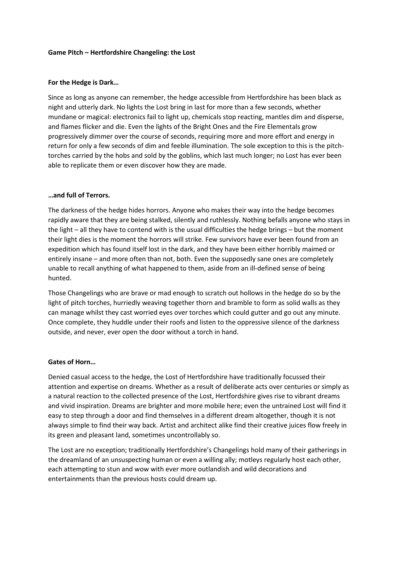## **Game Pitch – Hertfordshire Changeling: the Lost**

## **For the Hedge is Dark…**

Since as long as anyone can remember, the hedge accessible from Hertfordshire has been black as night and utterly dark. No lights the Lost bring in last for more than a few seconds, whether mundane or magical: electronics fail to light up, chemicals stop reacting, mantles dim and disperse, and flames flicker and die. Even the lights of the Bright Ones and the Fire Elementals grow progressively dimmer over the course of seconds, requiring more and more effort and energy in return for only a few seconds of dim and feeble illumination. The sole exception to this is the pitchtorches carried by the hobs and sold by the goblins, which last much longer; no Lost has ever been able to replicate them or even discover how they are made.

# **…and full of Terrors.**

The darkness of the hedge hides horrors. Anyone who makes their way into the hedge becomes rapidly aware that they are being stalked, silently and ruthlessly. Nothing befalls anyone who stays in the light – all they have to contend with is the usual difficulties the hedge brings – but the moment their light dies is the moment the horrors will strike. Few survivors have ever been found from an expedition which has found itself lost in the dark, and they have been either horribly maimed or entirely insane – and more often than not, both. Even the supposedly sane ones are completely unable to recall anything of what happened to them, aside from an ill-defined sense of being hunted.

Those Changelings who are brave or mad enough to scratch out hollows in the hedge do so by the light of pitch torches, hurriedly weaving together thorn and bramble to form as solid walls as they can manage whilst they cast worried eyes over torches which could gutter and go out any minute. Once complete, they huddle under their roofs and listen to the oppressive silence of the darkness outside, and never, ever open the door without a torch in hand.

### **Gates of Horn…**

Denied casual access to the hedge, the Lost of Hertfordshire have traditionally focussed their attention and expertise on dreams. Whether as a result of deliberate acts over centuries or simply as a natural reaction to the collected presence of the Lost, Hertfordshire gives rise to vibrant dreams and vivid inspiration. Dreams are brighter and more mobile here; even the untrained Lost will find it easy to step through a door and find themselves in a different dream altogether, though it is not always simple to find their way back. Artist and architect alike find their creative juices flow freely in its green and pleasant land, sometimes uncontrollably so.

The Lost are no exception; traditionally Hertfordshire's Changelings hold many of their gatherings in the dreamland of an unsuspecting human or even a willing ally; motleys regularly host each other, each attempting to stun and wow with ever more outlandish and wild decorations and entertainments than the previous hosts could dream up.